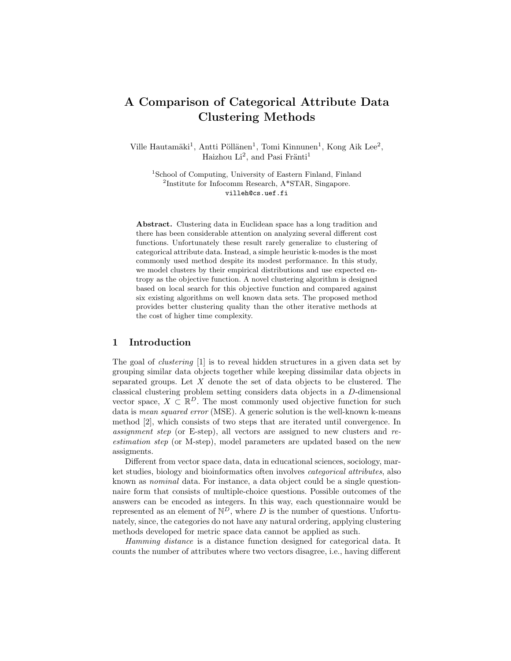# A Comparison of Categorical Attribute Data Clustering Methods

Ville Hautamäki<sup>1</sup>, Antti Pöllänen<sup>1</sup>, Tomi Kinnunen<sup>1</sup>, Kong Aik Lee<sup>2</sup>, Haizhou Li<sup>2</sup>, and Pasi Fränti<sup>1</sup>

<sup>1</sup>School of Computing, University of Eastern Finland, Finland 2 Institute for Infocomm Research, A\*STAR, Singapore. villeh@cs.uef.fi

Abstract. Clustering data in Euclidean space has a long tradition and there has been considerable attention on analyzing several different cost functions. Unfortunately these result rarely generalize to clustering of categorical attribute data. Instead, a simple heuristic k-modes is the most commonly used method despite its modest performance. In this study, we model clusters by their empirical distributions and use expected entropy as the objective function. A novel clustering algorithm is designed based on local search for this objective function and compared against six existing algorithms on well known data sets. The proposed method provides better clustering quality than the other iterative methods at the cost of higher time complexity.

# 1 Introduction

The goal of *clustering* [1] is to reveal hidden structures in a given data set by grouping similar data objects together while keeping dissimilar data objects in separated groups. Let  $X$  denote the set of data objects to be clustered. The classical clustering problem setting considers data objects in a D-dimensional vector space,  $X \subset \mathbb{R}^D$ . The most commonly used objective function for such data is *mean squared error* (MSE). A generic solution is the well-known k-means method [2], which consists of two steps that are iterated until convergence. In assignment step (or E-step), all vectors are assigned to new clusters and reestimation step (or M-step), model parameters are updated based on the new assigments.

Different from vector space data, data in educational sciences, sociology, market studies, biology and bioinformatics often involves categorical attributes, also known as nominal data. For instance, a data object could be a single questionnaire form that consists of multiple-choice questions. Possible outcomes of the answers can be encoded as integers. In this way, each questionnaire would be represented as an element of  $\mathbb{N}^D$ , where D is the number of questions. Unfortunately, since, the categories do not have any natural ordering, applying clustering methods developed for metric space data cannot be applied as such.

Hamming distance is a distance function designed for categorical data. It counts the number of attributes where two vectors disagree, i.e., having different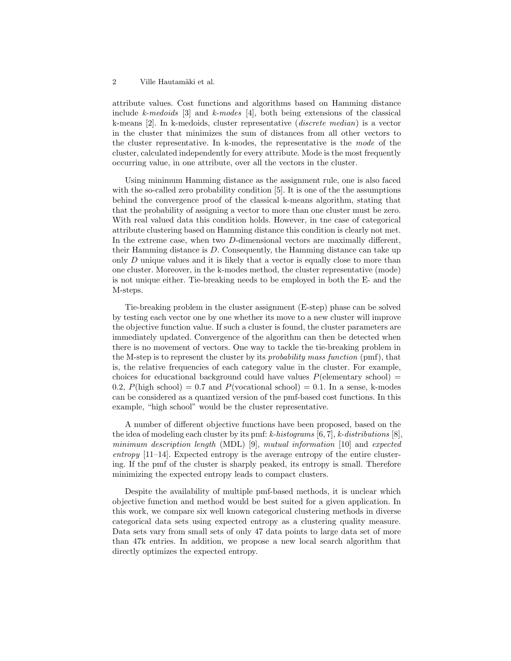attribute values. Cost functions and algorithms based on Hamming distance include k-medoids  $[3]$  and k-modes  $[4]$ , both being extensions of the classical k-means [2]. In k-medoids, cluster representative (discrete median) is a vector in the cluster that minimizes the sum of distances from all other vectors to the cluster representative. In k-modes, the representative is the mode of the cluster, calculated independently for every attribute. Mode is the most frequently occurring value, in one attribute, over all the vectors in the cluster.

Using minimum Hamming distance as the assignment rule, one is also faced with the so-called zero probability condition [5]. It is one of the the assumptions behind the convergence proof of the classical k-means algorithm, stating that that the probability of assigning a vector to more than one cluster must be zero. With real valued data this condition holds. However, in tne case of categorical attribute clustering based on Hamming distance this condition is clearly not met. In the extreme case, when two D-dimensional vectors are maximally different, their Hamming distance is D. Consequently, the Hamming distance can take up only  $D$  unique values and it is likely that a vector is equally close to more than one cluster. Moreover, in the k-modes method, the cluster representative (mode) is not unique either. Tie-breaking needs to be employed in both the E- and the M-steps.

Tie-breaking problem in the cluster assignment (E-step) phase can be solved by testing each vector one by one whether its move to a new cluster will improve the objective function value. If such a cluster is found, the cluster parameters are immediately updated. Convergence of the algorithm can then be detected when there is no movement of vectors. One way to tackle the tie-breaking problem in the M-step is to represent the cluster by its probability mass function (pmf), that is, the relative frequencies of each category value in the cluster. For example, choices for educational background could have values  $P$ (elementary school) = 0.2,  $P(\text{high school}) = 0.7$  and  $P(\text{vocational school}) = 0.1$ . In a sense, k-modes can be considered as a quantized version of the pmf-based cost functions. In this example, "high school" would be the cluster representative.

A number of different objective functions have been proposed, based on the the idea of modeling each cluster by its pmf: k-histograms  $[6, 7]$ , k-distributions  $[8]$ . minimum description length (MDL) [9], mutual information [10] and expected  $entropy$  [11–14]. Expected entropy is the average entropy of the entire clustering. If the pmf of the cluster is sharply peaked, its entropy is small. Therefore minimizing the expected entropy leads to compact clusters.

Despite the availability of multiple pmf-based methods, it is unclear which objective function and method would be best suited for a given application. In this work, we compare six well known categorical clustering methods in diverse categorical data sets using expected entropy as a clustering quality measure. Data sets vary from small sets of only 47 data points to large data set of more than 47k entries. In addition, we propose a new local search algorithm that directly optimizes the expected entropy.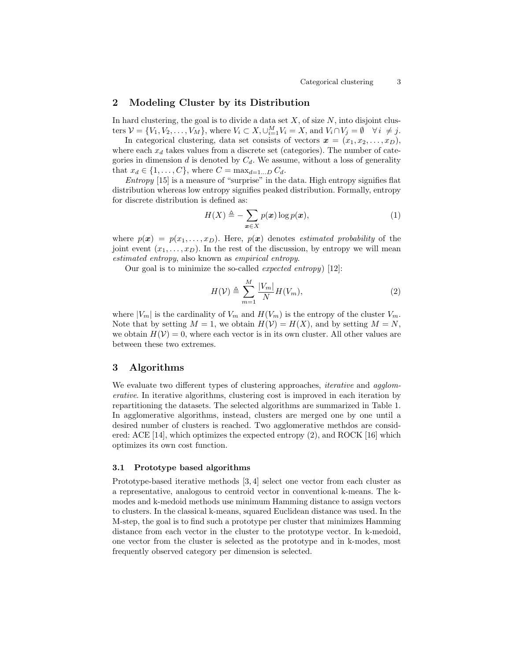# 2 Modeling Cluster by its Distribution

In hard clustering, the goal is to divide a data set  $X$ , of size  $N$ , into disjoint clusters  $\mathcal{V} = \{V_1, V_2, \dots, V_M\}$ , where  $V_i \subset X, \bigcup_{i=1}^M V_i = X$ , and  $V_i \cap V_j = \emptyset \quad \forall i \neq j$ .

In categorical clustering, data set consists of vectors  $\mathbf{x} = (x_1, x_2, \ldots, x_D)$ , where each  $x_d$  takes values from a discrete set (categories). The number of categories in dimension  $d$  is denoted by  $C_d$ . We assume, without a loss of generality that  $x_d \in \{1, ..., C\}$ , where  $C = \max_{d=1...D} C_d$ .

 $Entropy [15]$  is a measure of "surprise" in the data. High entropy signifies flat distribution whereas low entropy signifies peaked distribution. Formally, entropy for discrete distribution is defined as:

$$
H(X) \triangleq -\sum_{\boldsymbol{x}\in X} p(\boldsymbol{x}) \log p(\boldsymbol{x}),\tag{1}
$$

where  $p(x) = p(x_1, \ldots, x_D)$ . Here,  $p(x)$  denotes *estimated probability* of the joint event  $(x_1, \ldots, x_D)$ . In the rest of the discussion, by entropy we will mean estimated entropy, also known as empirical entropy.

Our goal is to minimize the so-called *expected entropy*) [12]:

$$
H(\mathcal{V}) \triangleq \sum_{m=1}^{M} \frac{|V_m|}{N} H(V_m),\tag{2}
$$

where  $|V_m|$  is the cardinality of  $V_m$  and  $H(V_m)$  is the entropy of the cluster  $V_m$ . Note that by setting  $M = 1$ , we obtain  $H(V) = H(X)$ , and by setting  $M = N$ , we obtain  $H(V) = 0$ , where each vector is in its own cluster. All other values are between these two extremes.

# 3 Algorithms

We evaluate two different types of clustering approaches, *iterative* and *agglom*erative. In iterative algorithms, clustering cost is improved in each iteration by repartitioning the datasets. The selected algorithms are summarized in Table 1. In agglomerative algorithms, instead, clusters are merged one by one until a desired number of clusters is reached. Two agglomerative methdos are considered: ACE [14], which optimizes the expected entropy (2), and ROCK [16] which optimizes its own cost function.

### 3.1 Prototype based algorithms

Prototype-based iterative methods [3, 4] select one vector from each cluster as a representative, analogous to centroid vector in conventional k-means. The kmodes and k-medoid methods use minimum Hamming distance to assign vectors to clusters. In the classical k-means, squared Euclidean distance was used. In the M-step, the goal is to find such a prototype per cluster that minimizes Hamming distance from each vector in the cluster to the prototype vector. In k-medoid, one vector from the cluster is selected as the prototype and in k-modes, most frequently observed category per dimension is selected.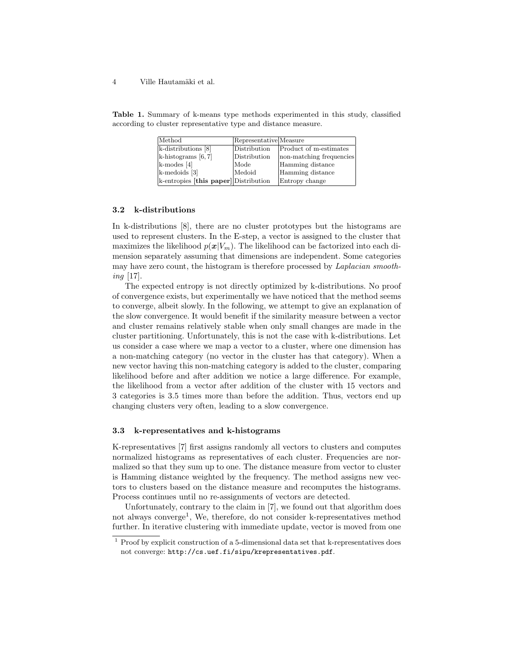| Method                                | Representative Measure |                          |
|---------------------------------------|------------------------|--------------------------|
| $k$ -distributions $[8]$              | Distribution           | Product of m-estimates   |
| $k\text{-histograms}$ [6, 7]          | Distribution           | non-matching frequencies |
| $k$ -modes [4]                        | Mode                   | Hamming distance         |
| k-medoids [3]                         | Medoid                 | Hamming distance         |
| k-entropies [this paper] Distribution |                        | Entropy change           |

Table 1. Summary of k-means type methods experimented in this study, classified according to cluster representative type and distance measure.

### 3.2 k-distributions

In k-distributions [8], there are no cluster prototypes but the histograms are used to represent clusters. In the E-step, a vector is assigned to the cluster that maximizes the likelihood  $p(x|V_m)$ . The likelihood can be factorized into each dimension separately assuming that dimensions are independent. Some categories may have zero count, the histogram is therefore processed by Laplacian smoothing [17].

The expected entropy is not directly optimized by k-distributions. No proof of convergence exists, but experimentally we have noticed that the method seems to converge, albeit slowly. In the following, we attempt to give an explanation of the slow convergence. It would benefit if the similarity measure between a vector and cluster remains relatively stable when only small changes are made in the cluster partitioning. Unfortunately, this is not the case with k-distributions. Let us consider a case where we map a vector to a cluster, where one dimension has a non-matching category (no vector in the cluster has that category). When a new vector having this non-matching category is added to the cluster, comparing likelihood before and after addition we notice a large difference. For example, the likelihood from a vector after addition of the cluster with 15 vectors and 3 categories is 3.5 times more than before the addition. Thus, vectors end up changing clusters very often, leading to a slow convergence.

### 3.3 k-representatives and k-histograms

K-representatives [7] first assigns randomly all vectors to clusters and computes normalized histograms as representatives of each cluster. Frequencies are normalized so that they sum up to one. The distance measure from vector to cluster is Hamming distance weighted by the frequency. The method assigns new vectors to clusters based on the distance measure and recomputes the histograms. Process continues until no re-assignments of vectors are detected.

Unfortunately, contrary to the claim in [7], we found out that algorithm does not always converge<sup>1</sup>, We, therefore, do not consider k-representatives method further. In iterative clustering with immediate update, vector is moved from one

<sup>1</sup> Proof by explicit construction of a 5-dimensional data set that k-representatives does not converge: http://cs.uef.fi/sipu/krepresentatives.pdf.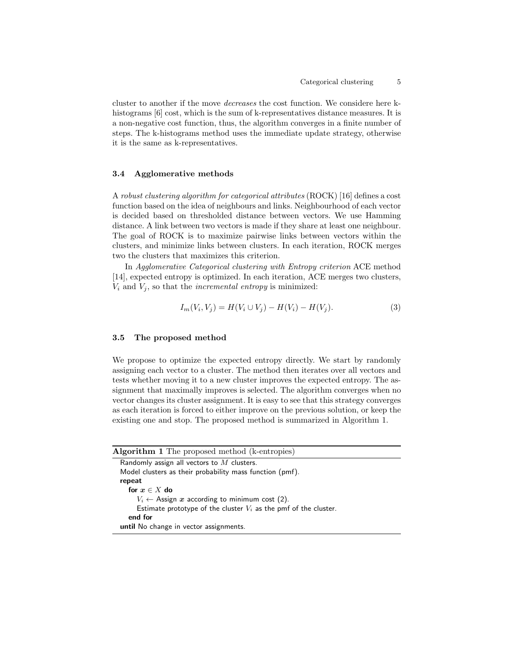cluster to another if the move decreases the cost function. We considere here khistograms [6] cost, which is the sum of k-representatives distance measures. It is a non-negative cost function, thus, the algorithm converges in a finite number of steps. The k-histograms method uses the immediate update strategy, otherwise it is the same as k-representatives.

### 3.4 Agglomerative methods

A robust clustering algorithm for categorical attributes (ROCK) [16] defines a cost function based on the idea of neighbours and links. Neighbourhood of each vector is decided based on thresholded distance between vectors. We use Hamming distance. A link between two vectors is made if they share at least one neighbour. The goal of ROCK is to maximize pairwise links between vectors within the clusters, and minimize links between clusters. In each iteration, ROCK merges two the clusters that maximizes this criterion.

In Agglomerative Categorical clustering with Entropy criterion ACE method [14], expected entropy is optimized. In each iteration, ACE merges two clusters,  $V_i$  and  $V_j$ , so that the *incremental entropy* is minimized:

$$
I_m(V_i, V_j) = H(V_i \cup V_j) - H(V_i) - H(V_j). \tag{3}
$$

#### 3.5 The proposed method

We propose to optimize the expected entropy directly. We start by randomly assigning each vector to a cluster. The method then iterates over all vectors and tests whether moving it to a new cluster improves the expected entropy. The assignment that maximally improves is selected. The algorithm converges when no vector changes its cluster assignment. It is easy to see that this strategy converges as each iteration is forced to either improve on the previous solution, or keep the existing one and stop. The proposed method is summarized in Algorithm 1.

| <b>Algorithm 1</b> The proposed method (k-entropies)               |  |  |  |  |  |
|--------------------------------------------------------------------|--|--|--|--|--|
| Randomly assign all vectors to $M$ clusters.                       |  |  |  |  |  |
| Model clusters as their probability mass function (pmf).           |  |  |  |  |  |
| repeat                                                             |  |  |  |  |  |
| for $x \in X$ do                                                   |  |  |  |  |  |
| $V_i \leftarrow$ Assign x according to minimum cost (2).           |  |  |  |  |  |
| Estimate prototype of the cluster $V_i$ as the pmf of the cluster. |  |  |  |  |  |
| end for                                                            |  |  |  |  |  |
| until No change in vector assignments.                             |  |  |  |  |  |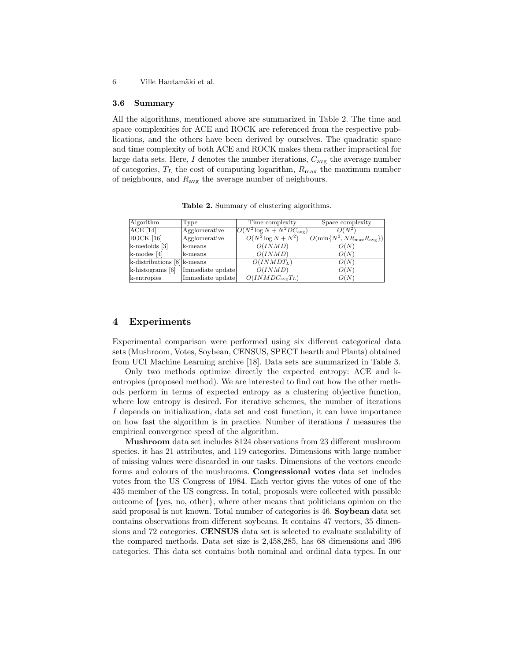#### 3.6 Summary

All the algorithms, mentioned above are summarized in Table 2. The time and space complexities for ACE and ROCK are referenced from the respective publications, and the others have been derived by ourselves. The quadratic space and time complexity of both ACE and ROCK makes them rather impractical for large data sets. Here, I denotes the number iterations,  $C_{\text{avg}}$  the average number of categories,  $T_L$  the cost of computing logarithm,  $R_{\text{max}}$  the maximum number of neighbours, and  $R_{\mathrm{avg}}$  the average number of neighbours.

| Algorithm<br>Type                 |                  | Time complexity                       | Space complexity                            |  |  |
|-----------------------------------|------------------|---------------------------------------|---------------------------------------------|--|--|
| $ACE$ [14]                        | Agglomerative    | $O(N^2 \log N + N^2 DC_{\text{avg}})$ | $O(N^2)$                                    |  |  |
| $ROCK$ [16]                       | Agglomerative    | $O(N^2 \log N + N^2)$                 | $ O(\min\{N^2, NR_{\max}R_{\text{avg}}\}) $ |  |  |
| k-medoids [3]                     | k-means          | O(INMD)                               | O(N)                                        |  |  |
| $k$ -modes [4]                    | k-means          | O(INMD)                               | O(N)                                        |  |  |
| $k$ -distributions [8] $k$ -means |                  | $O(INMDT_L)$                          | O(N)                                        |  |  |
| $k$ -histograms $[6]$             | Immediate update | O(INMD)                               | O(N)                                        |  |  |
| k-entropies                       | Immediate update | $O(INMDC_{\text{avg}}T_L)$            | O(N)                                        |  |  |

Table 2. Summary of clustering algorithms.

# 4 Experiments

Experimental comparison were performed using six different categorical data sets (Mushroom, Votes, Soybean, CENSUS, SPECT hearth and Plants) obtained from UCI Machine Learning archive [18]. Data sets are summarized in Table 3.

Only two methods optimize directly the expected entropy: ACE and kentropies (proposed method). We are interested to find out how the other methods perform in terms of expected entropy as a clustering objective function, where low entropy is desired. For iterative schemes, the number of iterations I depends on initialization, data set and cost function, it can have importance on how fast the algorithm is in practice. Number of iterations  $I$  measures the empirical convergence speed of the algorithm.

Mushroom data set includes 8124 observations from 23 different mushroom species. it has 21 attributes, and 119 categories. Dimensions with large number of missing values were discarded in our tasks. Dimensions of the vectors encode forms and colours of the mushrooms. Congressional votes data set includes votes from the US Congress of 1984. Each vector gives the votes of one of the 435 member of the US congress. In total, proposals were collected with possible outcome of {yes, no, other}, where other means that politicians opinion on the said proposal is not known. Total number of categories is 46. Soybean data set contains observations from different soybeans. It contains 47 vectors, 35 dimensions and 72 categories. CENSUS data set is selected to evaluate scalability of the compared methods. Data set size is 2,458,285, has 68 dimensions and 396 categories. This data set contains both nominal and ordinal data types. In our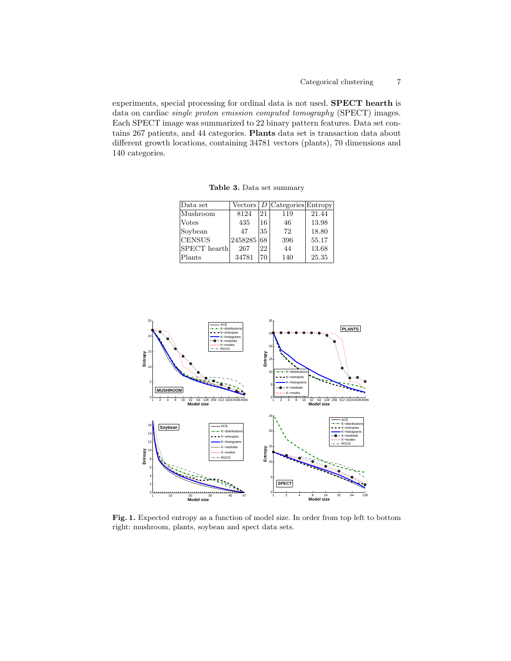experiments, special processing for ordinal data is not used. SPECT hearth is data on cardiac single proton emission computed tomography (SPECT) images. Each SPECT image was summarized to 22 binary pattern features. Data set contains 267 patients, and 44 categories. Plants data set is transaction data about different growth locations, containing 34781 vectors (plants), 70 dimensions and 140 categories.

Table 3. Data set summary

| Data set      | Vectors    |     | $D$ Categories Entropy |       |
|---------------|------------|-----|------------------------|-------|
| Mushroom      | 8124       | 21  | 119                    | 21.44 |
| <b>Votes</b>  | 435        | 16  | 46                     | 13.98 |
| Soybean       | 47         | 35  | 72                     | 18.80 |
| <b>CENSUS</b> | 2458285 68 |     | 396                    | 55.17 |
| SPECT hearth  | 267        | 22. | 44                     | 13.68 |
| Plants        | 34781      | 70  | 140                    | 25.35 |



Fig. 1. Expected entropy as a function of model size. In order from top left to bottom right: mushroom, plants, soybean and spect data sets.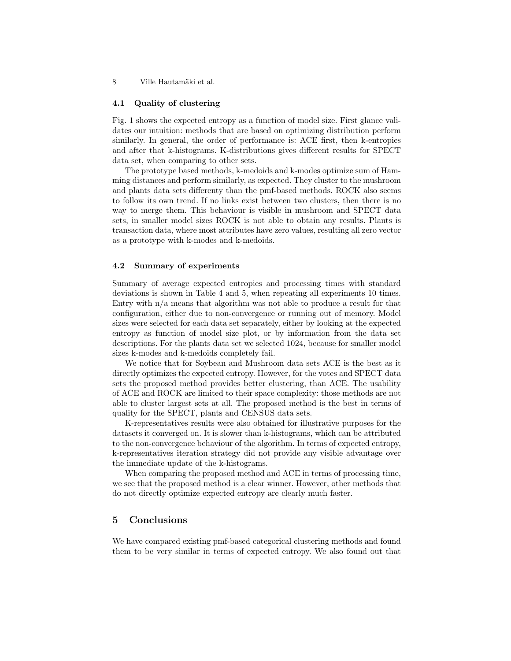#### 4.1 Quality of clustering

Fig. 1 shows the expected entropy as a function of model size. First glance validates our intuition: methods that are based on optimizing distribution perform similarly. In general, the order of performance is: ACE first, then k-entropies and after that k-histograms. K-distributions gives different results for SPECT data set, when comparing to other sets.

The prototype based methods, k-medoids and k-modes optimize sum of Hamming distances and perform similarly, as expected. They cluster to the mushroom and plants data sets differenty than the pmf-based methods. ROCK also seems to follow its own trend. If no links exist between two clusters, then there is no way to merge them. This behaviour is visible in mushroom and SPECT data sets, in smaller model sizes ROCK is not able to obtain any results. Plants is transaction data, where most attributes have zero values, resulting all zero vector as a prototype with k-modes and k-medoids.

### 4.2 Summary of experiments

Summary of average expected entropies and processing times with standard deviations is shown in Table 4 and 5, when repeating all experiments 10 times. Entry with  $n/a$  means that algorithm was not able to produce a result for that configuration, either due to non-convergence or running out of memory. Model sizes were selected for each data set separately, either by looking at the expected entropy as function of model size plot, or by information from the data set descriptions. For the plants data set we selected 1024, because for smaller model sizes k-modes and k-medoids completely fail.

We notice that for Soybean and Mushroom data sets ACE is the best as it directly optimizes the expected entropy. However, for the votes and SPECT data sets the proposed method provides better clustering, than ACE. The usability of ACE and ROCK are limited to their space complexity: those methods are not able to cluster largest sets at all. The proposed method is the best in terms of quality for the SPECT, plants and CENSUS data sets.

K-representatives results were also obtained for illustrative purposes for the datasets it converged on. It is slower than k-histograms, which can be attributed to the non-convergence behaviour of the algorithm. In terms of expected entropy, k-representatives iteration strategy did not provide any visible advantage over the immediate update of the k-histograms.

When comparing the proposed method and ACE in terms of processing time, we see that the proposed method is a clear winner. However, other methods that do not directly optimize expected entropy are clearly much faster.

### 5 Conclusions

We have compared existing pmf-based categorical clustering methods and found them to be very similar in terms of expected entropy. We also found out that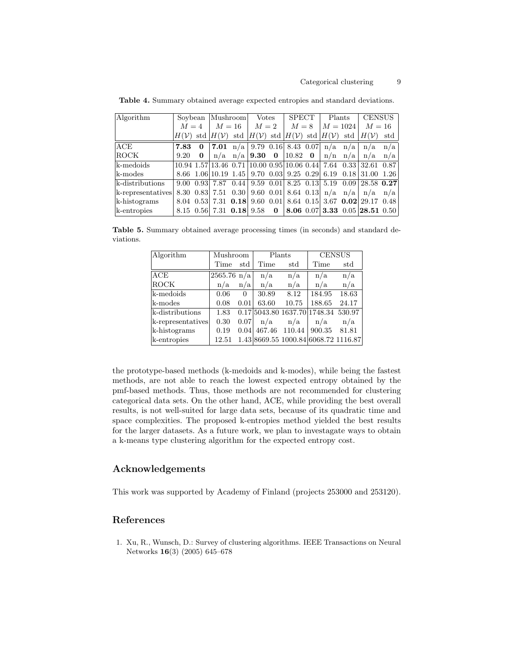| Algorithm            | Soybean |              | Mushroom                                |     | <b>Votes</b>         |  | <b>SPECT</b>                                                  |  | Plants      |     | <b>CENSUS</b>                                                         |     |
|----------------------|---------|--------------|-----------------------------------------|-----|----------------------|--|---------------------------------------------------------------|--|-------------|-----|-----------------------------------------------------------------------|-----|
|                      | $M = 4$ |              | $M=16$                                  |     | $M=2$                |  | $M=8$                                                         |  | $M = 1024$  |     | $M=16$                                                                |     |
|                      |         |              | $H(\mathcal{V})$ std $ H(\mathcal{V}) $ | std |                      |  | $H(\mathcal{V})$ std $ H(\mathcal{V})$ std $ H(\mathcal{V}) $ |  |             | std | H(Y)                                                                  | std |
| ACE                  | 7.83    | $\mathbf{0}$ | 7.01 $n/a$                              |     |                      |  | $\begin{bmatrix} 9.79 & 0.16 \end{bmatrix}$ 8.43 0.07         |  | $n/a$ $n/a$ |     | n/a                                                                   | n/a |
| <b>ROCK</b>          | 9.20    | $\Omega$     |                                         |     | $n/a$ $n/a$   9.30 0 |  | $10.82 \quad 0$                                               |  | n/n         | n/a | n/a                                                                   | n/a |
| k-medoids            |         |              |                                         |     |                      |  |                                                               |  |             |     | 10.94 1.57 13.46 0.71 10.00 0.95 10.06 0.44 7.64 0.33 32.61 0.87      |     |
| lk-modes             |         |              |                                         |     |                      |  |                                                               |  |             |     | 8.66 1.06 10.19 1.45   9.70 0.03   9.25 0.29   6.19 0.18   31.00 1.26 |     |
| $\,$ k-distributions |         |              |                                         |     |                      |  |                                                               |  |             |     | 9.00 0.93 7.87 0.44 9.59 0.01 8.25 0.13 5.19 0.09 28.58 0.27          |     |
| k-representatives    |         |              | 8.30 0.83 7.51 0.30                     |     |                      |  |                                                               |  |             |     | 9.60 0.01 8.64 0.13 $n/a$ $n/a$ $n/a$ $n/a$                           |     |
| k-histograms         |         |              |                                         |     |                      |  |                                                               |  |             |     | 8.04 0.53 7.31 0.18 9.60 0.01 8.64 0.15 3.67 0.02 29.17 0.48          |     |
| k-entropies          |         |              |                                         |     |                      |  |                                                               |  |             |     | 8.15 0.56 7.31 0.18 9.58 0 8.06 0.07 3.33 0.05 28.51 0.50             |     |

Table 4. Summary obtained average expected entropies and standard deviations.

Table 5. Summary obtained average processing times (in seconds) and standard deviations.

| Algorithm         | Mushroom               |              |                                      | Plants        | <b>CENSUS</b> |       |  |
|-------------------|------------------------|--------------|--------------------------------------|---------------|---------------|-------|--|
|                   | Time                   | $^{\rm std}$ | Time                                 | std           | Time          | std   |  |
| <b>ACE</b>        | $ 2565.76\;{\rm n/a} $ |              | n/a                                  | n/a           | n/a           | n/a   |  |
| ROCK              | n/a                    | n/a          | n/a                                  | n/a           | n/a           | n/a   |  |
| k-medoids         | 0.06                   | $\Omega$     | 30.89                                | 8.12          | 184.95        | 18.63 |  |
| k-modes           | 0.08                   | 0.01         | 63.60                                | 10.75         | 188.65        | 24.17 |  |
| k-distributions   | 1.83                   |              | 0.17 5043.80 1637.70 1748.34 530.97  |               |               |       |  |
| k-representatives | 0.30                   | 0.07         | n/a                                  | n/a           | n/a           | n/a   |  |
| k-histograms      | 0.19                   | 0.04         |                                      | 467.46 110.44 | 900.35        | 81.81 |  |
| k-entropies       | 12.51                  |              | 1.43 8669.55 1000.84 6068.72 1116.87 |               |               |       |  |

the prototype-based methods (k-medoids and k-modes), while being the fastest methods, are not able to reach the lowest expected entropy obtained by the pmf-based methods. Thus, those methods are not recommended for clustering categorical data sets. On the other hand, ACE, while providing the best overall results, is not well-suited for large data sets, because of its quadratic time and space complexities. The proposed k-entropies method yielded the best results for the larger datasets. As a future work, we plan to investagate ways to obtain a k-means type clustering algorithm for the expected entropy cost.

# Acknowledgements

This work was supported by Academy of Finland (projects 253000 and 253120).

# References

1. Xu, R., Wunsch, D.: Survey of clustering algorithms. IEEE Transactions on Neural Networks 16(3) (2005) 645–678